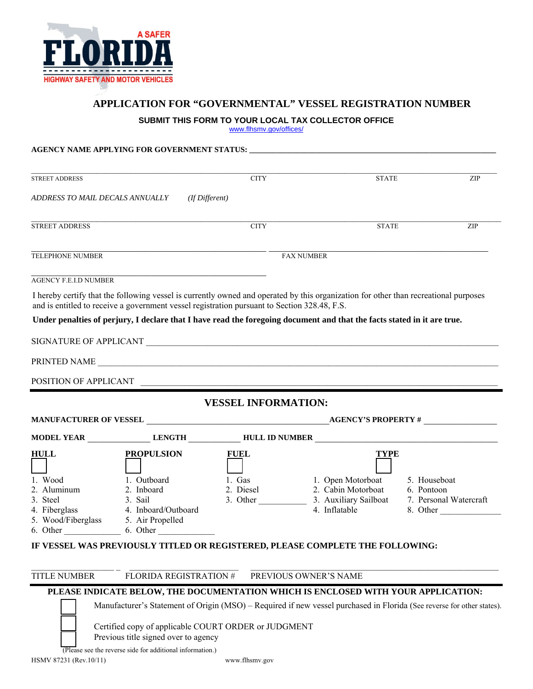

## **APPLICATION FOR "GOVERNMENTAL" VESSEL REGISTRATION NUMBER**

**SUBMIT THIS FORM TO YOUR LOCAL TAX COLLECTOR OFFICE**

www.flhsmv.gov/offices/

## **AGENCY NAME APPLYING FOR GOVERNMENT STATUS: \_\_\_\_\_\_\_\_\_\_\_\_\_\_\_\_\_\_\_\_\_\_\_\_\_\_\_\_\_\_\_\_\_\_\_\_\_\_\_\_\_\_\_\_\_\_\_\_\_\_\_\_\_\_\_\_\_\_\_\_\_\_\_**

| <b>STREET ADDRESS</b>               |                                                                                              | <b>CITY</b>                | <b>STATE</b>                                                                                                                         | <b>ZIP</b>             |  |
|-------------------------------------|----------------------------------------------------------------------------------------------|----------------------------|--------------------------------------------------------------------------------------------------------------------------------------|------------------------|--|
| ADDRESS TO MAIL DECALS ANNUALLY     | (If Different)                                                                               |                            |                                                                                                                                      |                        |  |
| <b>STREET ADDRESS</b>               |                                                                                              | <b>CITY</b>                | <b>STATE</b>                                                                                                                         | ZIP                    |  |
| <b>TELEPHONE NUMBER</b>             |                                                                                              |                            | <b>FAX NUMBER</b>                                                                                                                    |                        |  |
| <b>AGENCY F.E.I.D NUMBER</b>        |                                                                                              |                            |                                                                                                                                      |                        |  |
|                                     | and is entitled to receive a government vessel registration pursuant to Section 328.48, F.S. |                            | I hereby certify that the following vessel is currently owned and operated by this organization for other than recreational purposes |                        |  |
|                                     |                                                                                              |                            | Under penalties of perjury, I declare that I have read the foregoing document and that the facts stated in it are true.              |                        |  |
|                                     |                                                                                              |                            |                                                                                                                                      |                        |  |
|                                     |                                                                                              |                            |                                                                                                                                      |                        |  |
|                                     |                                                                                              |                            |                                                                                                                                      |                        |  |
|                                     | PRINTED NAME                                                                                 |                            |                                                                                                                                      |                        |  |
| POSITION OF APPLICANT               |                                                                                              |                            |                                                                                                                                      |                        |  |
|                                     |                                                                                              | <b>VESSEL INFORMATION:</b> |                                                                                                                                      |                        |  |
|                                     |                                                                                              |                            |                                                                                                                                      |                        |  |
|                                     |                                                                                              |                            | MODEL YEAR THE LENGTH HULL ID NUMBER                                                                                                 |                        |  |
| <b>HULL</b>                         | <b>PROPULSION</b>                                                                            | <b>FUEL</b>                | <b>TYPE</b>                                                                                                                          |                        |  |
| 1. Wood                             | 1. Outboard                                                                                  | 1. Gas                     | 1. Open Motorboat                                                                                                                    | 5. Houseboat           |  |
| 2. Aluminum                         | 2. Inboard                                                                                   | 2. Diesel                  | 2. Cabin Motorboat                                                                                                                   | 6. Pontoon             |  |
| 3. Steel                            | 3. Sail<br>4. Inboard/Outboard                                                               | $3. Other _______$         | 3. Auxiliary Sailboat<br>4. Inflatable                                                                                               | 8. Other               |  |
| 4. Fiberglass<br>5. Wood/Fiberglass | 5. Air Propelled<br>$6. Other$ 6. Other                                                      |                            |                                                                                                                                      | 7. Personal Watercraft |  |

 $\_$  , and the state of the state of the state of the state of the state of the state of the state of the state of the state of the state of the state of the state of the state of the state of the state of the state of the TITLE NUMBER FLORIDA REGISTRATION # PREVIOUS OWNER'S NAME

## **PLEASE INDICATE BELOW, THE DOCUMENTATION WHICH IS ENCLOSED WITH YOUR APPLICATION:**

Manufacturer's Statement of Origin (MSO) – Required if new vessel purchased in Florida (See reverse for other states).

Certified copy of applicable COURT ORDER or JUDGMENT

Previous title signed over to agency

(Please see the reverse side for additional information.)